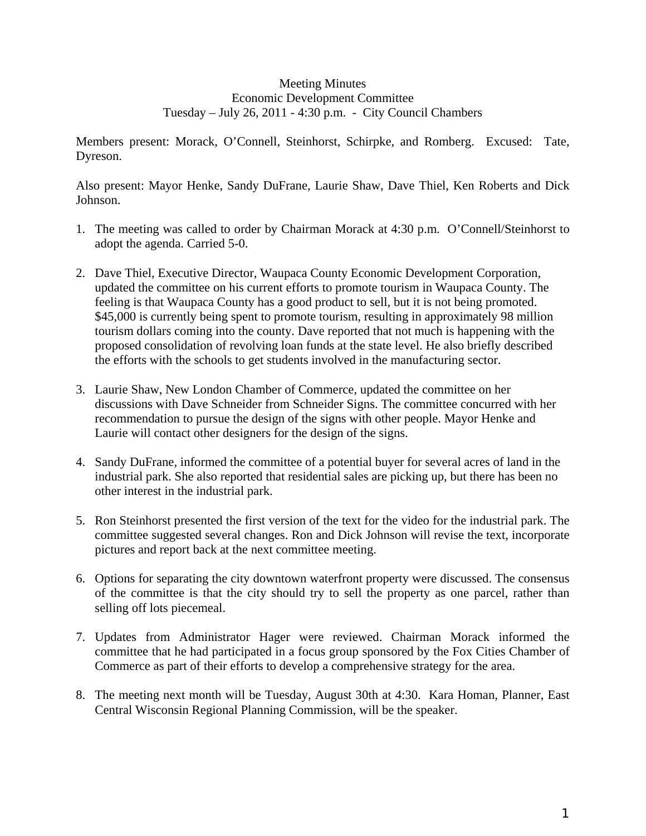## Meeting Minutes Economic Development Committee Tuesday – July 26, 2011 - 4:30 p.m. - City Council Chambers

Members present: Morack, O'Connell, Steinhorst, Schirpke, and Romberg. Excused: Tate, Dyreson.

Also present: Mayor Henke, Sandy DuFrane, Laurie Shaw, Dave Thiel, Ken Roberts and Dick Johnson.

- 1. The meeting was called to order by Chairman Morack at 4:30 p.m. O'Connell/Steinhorst to adopt the agenda. Carried 5-0.
- 2. Dave Thiel, Executive Director, Waupaca County Economic Development Corporation, updated the committee on his current efforts to promote tourism in Waupaca County. The feeling is that Waupaca County has a good product to sell, but it is not being promoted. \$45,000 is currently being spent to promote tourism, resulting in approximately 98 million tourism dollars coming into the county. Dave reported that not much is happening with the proposed consolidation of revolving loan funds at the state level. He also briefly described the efforts with the schools to get students involved in the manufacturing sector.
- 3. Laurie Shaw, New London Chamber of Commerce, updated the committee on her discussions with Dave Schneider from Schneider Signs. The committee concurred with her recommendation to pursue the design of the signs with other people. Mayor Henke and Laurie will contact other designers for the design of the signs.
- 4. Sandy DuFrane, informed the committee of a potential buyer for several acres of land in the industrial park. She also reported that residential sales are picking up, but there has been no other interest in the industrial park.
- 5. Ron Steinhorst presented the first version of the text for the video for the industrial park. The committee suggested several changes. Ron and Dick Johnson will revise the text, incorporate pictures and report back at the next committee meeting.
- 6. Options for separating the city downtown waterfront property were discussed. The consensus of the committee is that the city should try to sell the property as one parcel, rather than selling off lots piecemeal.
- 7. Updates from Administrator Hager were reviewed. Chairman Morack informed the committee that he had participated in a focus group sponsored by the Fox Cities Chamber of Commerce as part of their efforts to develop a comprehensive strategy for the area.
- 8. The meeting next month will be Tuesday, August 30th at 4:30. Kara Homan, Planner, East Central Wisconsin Regional Planning Commission, will be the speaker.